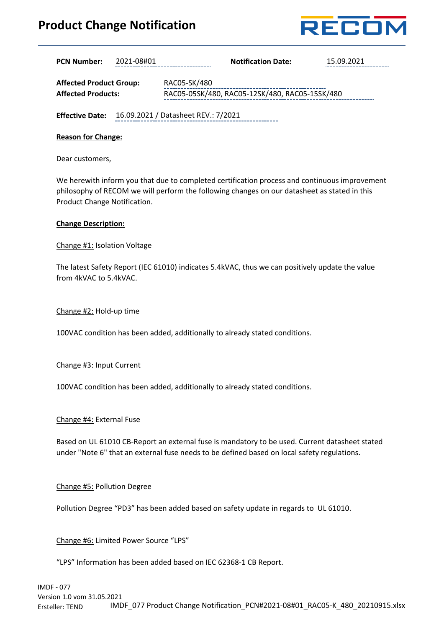## **Product Change Notification**



| <b>oduct Change Notification</b><br>RECOI                   |            |                                                                                                                                                                                               |                           |                                                                                               |
|-------------------------------------------------------------|------------|-----------------------------------------------------------------------------------------------------------------------------------------------------------------------------------------------|---------------------------|-----------------------------------------------------------------------------------------------|
| <b>PCN Number:</b>                                          | 2021-08#01 |                                                                                                                                                                                               | <b>Notification Date:</b> | 15.09.2021                                                                                    |
| <b>Affected Product Group:</b><br><b>Affected Products:</b> |            | RAC05-SK/480<br>RAC05-05SK/480, RAC05-12SK/480, RAC05-15SK/480                                                                                                                                |                           |                                                                                               |
|                                                             |            | <b>Effective Date:</b> 16.09.2021 / Datasheet REV.: 7/2021                                                                                                                                    |                           |                                                                                               |
| <b>Reason for Change:</b>                                   |            |                                                                                                                                                                                               |                           |                                                                                               |
| Dear customers,                                             |            |                                                                                                                                                                                               |                           |                                                                                               |
| Product Change Notification.                                |            | philosophy of RECOM we will perform the following changes on our datasheet as stated in this                                                                                                  |                           | We herewith inform you that due to completed certification process and continuous improvement |
| <b>Change Description:</b>                                  |            |                                                                                                                                                                                               |                           |                                                                                               |
| Change #1: Isolation Voltage                                |            |                                                                                                                                                                                               |                           |                                                                                               |
| from 4kVAC to 5.4kVAC.                                      |            | The latest Safety Report (IEC 61010) indicates 5.4kVAC, thus we can positively update the value                                                                                               |                           |                                                                                               |
| Change #2: Hold-up time                                     |            |                                                                                                                                                                                               |                           |                                                                                               |
|                                                             |            | 100VAC condition has been added, additionally to already stated conditions.                                                                                                                   |                           |                                                                                               |
| Change #3: Input Current                                    |            |                                                                                                                                                                                               |                           |                                                                                               |
|                                                             |            | 100VAC condition has been added, additionally to already stated conditions.                                                                                                                   |                           |                                                                                               |
| Change #4: External Fuse                                    |            |                                                                                                                                                                                               |                           |                                                                                               |
|                                                             |            | Based on UL 61010 CB-Report an external fuse is mandatory to be used. Current datasheet stated<br>under "Note 6" that an external fuse needs to be defined based on local safety regulations. |                           |                                                                                               |
| Change #5: Pollution Degree                                 |            |                                                                                                                                                                                               |                           |                                                                                               |

Pollution Degree "PD3" has been added based on safety update in regards to UL 61010.

Change #6: Limited Power Source "LPS"

"LPS" Information has been added based on IEC 62368-1 CB Report.